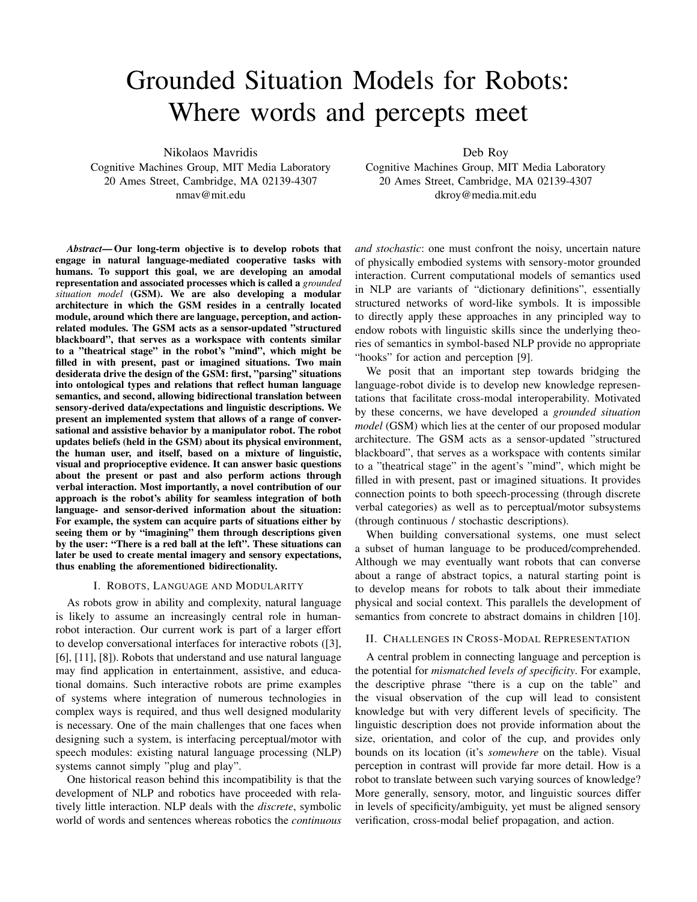# Grounded Situation Models for Robots: Where words and percepts meet

Nikolaos Mavridis

Cognitive Machines Group, MIT Media Laboratory 20 Ames Street, Cambridge, MA 02139-4307 nmav@mit.edu

*Abstract*— Our long-term objective is to develop robots that engage in natural language-mediated cooperative tasks with humans. To support this goal, we are developing an amodal representation and associated processes which is called a *grounded situation model* (GSM). We are also developing a modular architecture in which the GSM resides in a centrally located module, around which there are language, perception, and actionrelated modules. The GSM acts as a sensor-updated "structured blackboard", that serves as a workspace with contents similar to a "theatrical stage" in the robot's "mind", which might be filled in with present, past or imagined situations. Two main desiderata drive the design of the GSM: first, "parsing" situations into ontological types and relations that reflect human language semantics, and second, allowing bidirectional translation between sensory-derived data/expectations and linguistic descriptions. We present an implemented system that allows of a range of conversational and assistive behavior by a manipulator robot. The robot updates beliefs (held in the GSM) about its physical environment, the human user, and itself, based on a mixture of linguistic, visual and proprioceptive evidence. It can answer basic questions about the present or past and also perform actions through verbal interaction. Most importantly, a novel contribution of our approach is the robot's ability for seamless integration of both language- and sensor-derived information about the situation: For example, the system can acquire parts of situations either by seeing them or by "imagining" them through descriptions given by the user: "There is a red ball at the left". These situations can later be used to create mental imagery and sensory expectations, thus enabling the aforementioned bidirectionality.

#### I. ROBOTS, LANGUAGE AND MODULARITY

As robots grow in ability and complexity, natural language is likely to assume an increasingly central role in humanrobot interaction. Our current work is part of a larger effort to develop conversational interfaces for interactive robots ([3], [6], [11], [8]). Robots that understand and use natural language may find application in entertainment, assistive, and educational domains. Such interactive robots are prime examples of systems where integration of numerous technologies in complex ways is required, and thus well designed modularity is necessary. One of the main challenges that one faces when designing such a system, is interfacing perceptual/motor with speech modules: existing natural language processing (NLP) systems cannot simply "plug and play".

One historical reason behind this incompatibility is that the development of NLP and robotics have proceeded with relatively little interaction. NLP deals with the *discrete*, symbolic world of words and sentences whereas robotics the *continuous* Deb Roy

Cognitive Machines Group, MIT Media Laboratory 20 Ames Street, Cambridge, MA 02139-4307 dkroy@media.mit.edu

*and stochastic*: one must confront the noisy, uncertain nature of physically embodied systems with sensory-motor grounded interaction. Current computational models of semantics used in NLP are variants of "dictionary definitions", essentially structured networks of word-like symbols. It is impossible to directly apply these approaches in any principled way to endow robots with linguistic skills since the underlying theories of semantics in symbol-based NLP provide no appropriate "hooks" for action and perception [9].

We posit that an important step towards bridging the language-robot divide is to develop new knowledge representations that facilitate cross-modal interoperability. Motivated by these concerns, we have developed a *grounded situation model* (GSM) which lies at the center of our proposed modular architecture. The GSM acts as a sensor-updated "structured blackboard", that serves as a workspace with contents similar to a "theatrical stage" in the agent's "mind", which might be filled in with present, past or imagined situations. It provides connection points to both speech-processing (through discrete verbal categories) as well as to perceptual/motor subsystems (through continuous / stochastic descriptions).

When building conversational systems, one must select a subset of human language to be produced/comprehended. Although we may eventually want robots that can converse about a range of abstract topics, a natural starting point is to develop means for robots to talk about their immediate physical and social context. This parallels the development of semantics from concrete to abstract domains in children [10].

## II. CHALLENGES IN CROSS-MODAL REPRESENTATION

A central problem in connecting language and perception is the potential for *mismatched levels of specificity*. For example, the descriptive phrase "there is a cup on the table" and the visual observation of the cup will lead to consistent knowledge but with very different levels of specificity. The linguistic description does not provide information about the size, orientation, and color of the cup, and provides only bounds on its location (it's *somewhere* on the table). Visual perception in contrast will provide far more detail. How is a robot to translate between such varying sources of knowledge? More generally, sensory, motor, and linguistic sources differ in levels of specificity/ambiguity, yet must be aligned sensory verification, cross-modal belief propagation, and action.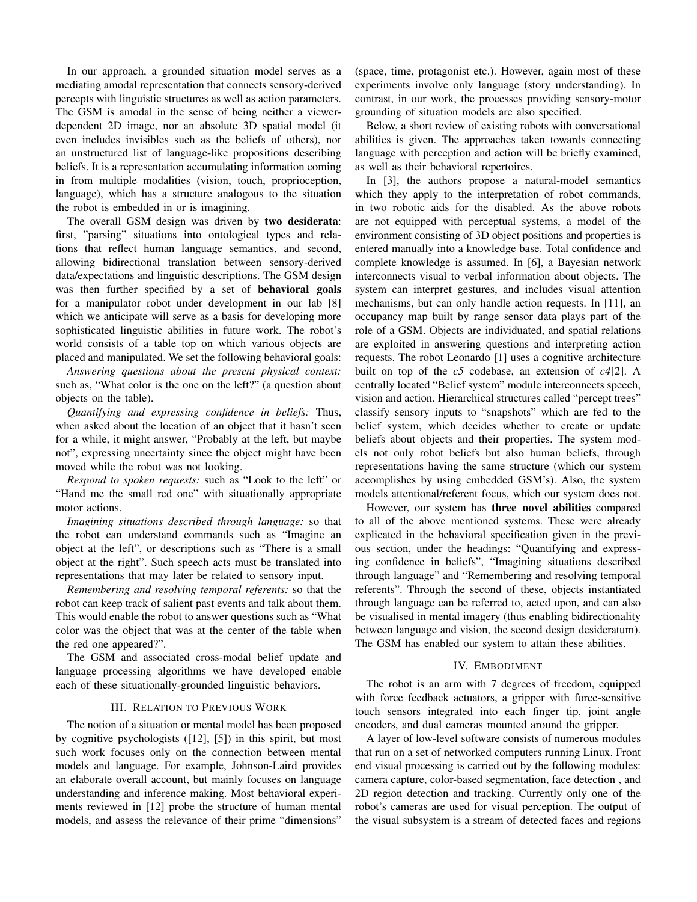In our approach, a grounded situation model serves as a mediating amodal representation that connects sensory-derived percepts with linguistic structures as well as action parameters. The GSM is amodal in the sense of being neither a viewerdependent 2D image, nor an absolute 3D spatial model (it even includes invisibles such as the beliefs of others), nor an unstructured list of language-like propositions describing beliefs. It is a representation accumulating information coming in from multiple modalities (vision, touch, proprioception, language), which has a structure analogous to the situation the robot is embedded in or is imagining.

The overall GSM design was driven by two desiderata: first, "parsing" situations into ontological types and relations that reflect human language semantics, and second, allowing bidirectional translation between sensory-derived data/expectations and linguistic descriptions. The GSM design was then further specified by a set of **behavioral goals** for a manipulator robot under development in our lab [8] which we anticipate will serve as a basis for developing more sophisticated linguistic abilities in future work. The robot's world consists of a table top on which various objects are placed and manipulated. We set the following behavioral goals:

*Answering questions about the present physical context:* such as, "What color is the one on the left?" (a question about objects on the table).

*Quantifying and expressing confidence in beliefs:* Thus, when asked about the location of an object that it hasn't seen for a while, it might answer, "Probably at the left, but maybe not", expressing uncertainty since the object might have been moved while the robot was not looking.

*Respond to spoken requests:* such as "Look to the left" or "Hand me the small red one" with situationally appropriate motor actions.

*Imagining situations described through language:* so that the robot can understand commands such as "Imagine an object at the left", or descriptions such as "There is a small object at the right". Such speech acts must be translated into representations that may later be related to sensory input.

*Remembering and resolving temporal referents:* so that the robot can keep track of salient past events and talk about them. This would enable the robot to answer questions such as "What color was the object that was at the center of the table when the red one appeared?".

The GSM and associated cross-modal belief update and language processing algorithms we have developed enable each of these situationally-grounded linguistic behaviors.

## III. RELATION TO PREVIOUS WORK

The notion of a situation or mental model has been proposed by cognitive psychologists ([12], [5]) in this spirit, but most such work focuses only on the connection between mental models and language. For example, Johnson-Laird provides an elaborate overall account, but mainly focuses on language understanding and inference making. Most behavioral experiments reviewed in [12] probe the structure of human mental models, and assess the relevance of their prime "dimensions" (space, time, protagonist etc.). However, again most of these experiments involve only language (story understanding). In contrast, in our work, the processes providing sensory-motor grounding of situation models are also specified.

Below, a short review of existing robots with conversational abilities is given. The approaches taken towards connecting language with perception and action will be briefly examined, as well as their behavioral repertoires.

In [3], the authors propose a natural-model semantics which they apply to the interpretation of robot commands, in two robotic aids for the disabled. As the above robots are not equipped with perceptual systems, a model of the environment consisting of 3D object positions and properties is entered manually into a knowledge base. Total confidence and complete knowledge is assumed. In [6], a Bayesian network interconnects visual to verbal information about objects. The system can interpret gestures, and includes visual attention mechanisms, but can only handle action requests. In [11], an occupancy map built by range sensor data plays part of the role of a GSM. Objects are individuated, and spatial relations are exploited in answering questions and interpreting action requests. The robot Leonardo [1] uses a cognitive architecture built on top of the *c5* codebase, an extension of *c4*[2]. A centrally located "Belief system" module interconnects speech, vision and action. Hierarchical structures called "percept trees" classify sensory inputs to "snapshots" which are fed to the belief system, which decides whether to create or update beliefs about objects and their properties. The system models not only robot beliefs but also human beliefs, through representations having the same structure (which our system accomplishes by using embedded GSM's). Also, the system models attentional/referent focus, which our system does not.

However, our system has three novel abilities compared to all of the above mentioned systems. These were already explicated in the behavioral specification given in the previous section, under the headings: "Quantifying and expressing confidence in beliefs", "Imagining situations described through language" and "Remembering and resolving temporal referents". Through the second of these, objects instantiated through language can be referred to, acted upon, and can also be visualised in mental imagery (thus enabling bidirectionality between language and vision, the second design desideratum). The GSM has enabled our system to attain these abilities.

#### IV. EMBODIMENT

The robot is an arm with 7 degrees of freedom, equipped with force feedback actuators, a gripper with force-sensitive touch sensors integrated into each finger tip, joint angle encoders, and dual cameras mounted around the gripper.

A layer of low-level software consists of numerous modules that run on a set of networked computers running Linux. Front end visual processing is carried out by the following modules: camera capture, color-based segmentation, face detection , and 2D region detection and tracking. Currently only one of the robot's cameras are used for visual perception. The output of the visual subsystem is a stream of detected faces and regions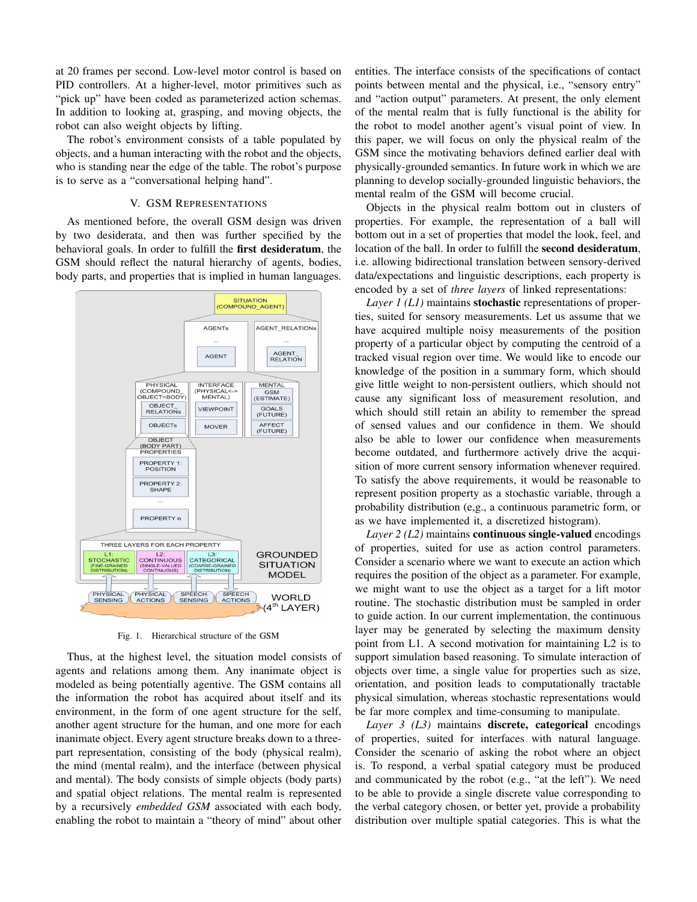at 20 frames per second. Low-level motor control is based on PID controllers. At a higher-level, motor primitives such as "pick up" have been coded as parameterized action schemas. In addition to looking at, grasping, and moving objects, the robot can also weight objects by lifting.

The robot's environment consists of a table populated by objects, and a human interacting with the robot and the objects, who is standing near the edge of the table. The robot's purpose is to serve as a "conversational helping hand".

#### V. GSM REPRESENTATIONS

As mentioned before, the overall GSM design was driven by two desiderata, and then was further specified by the behavioral goals. In order to fulfill the first desideratum, the GSM should reflect the natural hierarchy of agents, bodies, body parts, and properties that is implied in human languages.



Fig. 1. Hierarchical structure of the GSM

Thus, at the highest level, the situation model consists of agents and relations among them. Any inanimate object is modeled as being potentially agentive. The GSM contains all the information the robot has acquired about itself and its environment, in the form of one agent structure for the self, another agent structure for the human, and one more for each inanimate object. Every agent structure breaks down to a threepart representation, consisting of the body (physical realm), the mind (mental realm), and the interface (between physical and mental). The body consists of simple objects (body parts) and spatial object relations. The mental realm is represented by a recursively *embedded GSM* associated with each body, enabling the robot to maintain a "theory of mind" about other

entities. The interface consists of the specifications of contact points between mental and the physical, i.e., "sensory entry" and "action output" parameters. At present, the only element of the mental realm that is fully functional is the ability for the robot to model another agent's visual point of view. In this paper, we will focus on only the physical realm of the GSM since the motivating behaviors defined earlier deal with physically-grounded semantics. In future work in which we are planning to develop socially-grounded linguistic behaviors, the mental realm of the GSM will become crucial.

Objects in the physical realm bottom out in clusters of properties. For example, the representation of a ball will bottom out in a set of properties that model the look, feel, and location of the ball. In order to fulfill the second desideratum, i.e. allowing bidirectional translation between sensory-derived data/expectations and linguistic descriptions, each property is encoded by a set of *three layers* of linked representations:

*Layer 1 (L1)* maintains **stochastic** representations of properties, suited for sensory measurements. Let us assume that we have acquired multiple noisy measurements of the position property of a particular object by computing the centroid of a tracked visual region over time. We would like to encode our knowledge of the position in a summary form, which should give little weight to non-persistent outliers, which should not cause any significant loss of measurement resolution, and which should still retain an ability to remember the spread of sensed values and our confidence in them. We should also be able to lower our confidence when measurements become outdated, and furthermore actively drive the acquisition of more current sensory information whenever required. To satisfy the above requirements, it would be reasonable to represent position property as a stochastic variable, through a probability distribution (e,g., a continuous parametric form, or as we have implemented it, a discretized histogram).

*Layer 2 (L2)* maintains continuous single-valued encodings of properties, suited for use as action control parameters. Consider a scenario where we want to execute an action which requires the position of the object as a parameter. For example, we might want to use the object as a target for a lift motor routine. The stochastic distribution must be sampled in order to guide action. In our current implementation, the continuous layer may be generated by selecting the maximum density point from L1. A second motivation for maintaining L2 is to support simulation based reasoning. To simulate interaction of objects over time, a single value for properties such as size, orientation, and position leads to computationally tractable physical simulation, whereas stochastic representations would be far more complex and time-consuming to manipulate.

Layer 3 (L3) maintains discrete, categorical encodings of properties, suited for interfaces with natural language. Consider the scenario of asking the robot where an object is. To respond, a verbal spatial category must be produced and communicated by the robot (e.g., "at the left"). We need to be able to provide a single discrete value corresponding to the verbal category chosen, or better yet, provide a probability distribution over multiple spatial categories. This is what the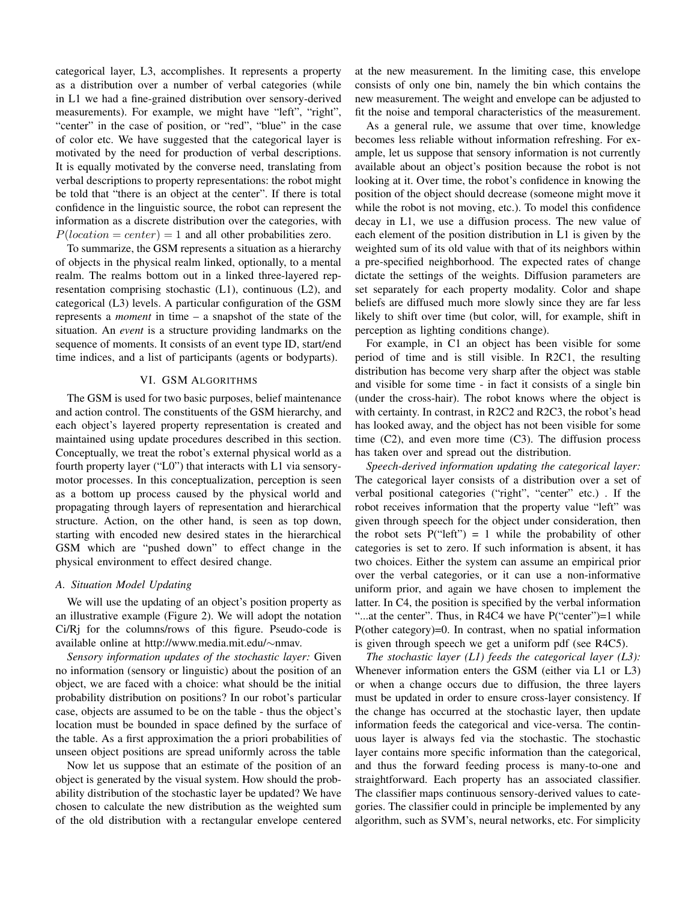categorical layer, L3, accomplishes. It represents a property as a distribution over a number of verbal categories (while in L1 we had a fine-grained distribution over sensory-derived measurements). For example, we might have "left", "right", "center" in the case of position, or "red", "blue" in the case of color etc. We have suggested that the categorical layer is motivated by the need for production of verbal descriptions. It is equally motivated by the converse need, translating from verbal descriptions to property representations: the robot might be told that "there is an object at the center". If there is total confidence in the linguistic source, the robot can represent the information as a discrete distribution over the categories, with  $P(location = center) = 1$  and all other probabilities zero.

To summarize, the GSM represents a situation as a hierarchy of objects in the physical realm linked, optionally, to a mental realm. The realms bottom out in a linked three-layered representation comprising stochastic (L1), continuous (L2), and categorical (L3) levels. A particular configuration of the GSM represents a *moment* in time – a snapshot of the state of the situation. An *event* is a structure providing landmarks on the sequence of moments. It consists of an event type ID, start/end time indices, and a list of participants (agents or bodyparts).

## VI. GSM ALGORITHMS

The GSM is used for two basic purposes, belief maintenance and action control. The constituents of the GSM hierarchy, and each object's layered property representation is created and maintained using update procedures described in this section. Conceptually, we treat the robot's external physical world as a fourth property layer ("L0") that interacts with L1 via sensorymotor processes. In this conceptualization, perception is seen as a bottom up process caused by the physical world and propagating through layers of representation and hierarchical structure. Action, on the other hand, is seen as top down, starting with encoded new desired states in the hierarchical GSM which are "pushed down" to effect change in the physical environment to effect desired change.

#### *A. Situation Model Updating*

We will use the updating of an object's position property as an illustrative example (Figure 2). We will adopt the notation Ci/Rj for the columns/rows of this figure. Pseudo-code is available online at http://www.media.mit.edu/∼nmav.

*Sensory information updates of the stochastic layer:* Given no information (sensory or linguistic) about the position of an object, we are faced with a choice: what should be the initial probability distribution on positions? In our robot's particular case, objects are assumed to be on the table - thus the object's location must be bounded in space defined by the surface of the table. As a first approximation the a priori probabilities of unseen object positions are spread uniformly across the table

Now let us suppose that an estimate of the position of an object is generated by the visual system. How should the probability distribution of the stochastic layer be updated? We have chosen to calculate the new distribution as the weighted sum of the old distribution with a rectangular envelope centered at the new measurement. In the limiting case, this envelope consists of only one bin, namely the bin which contains the new measurement. The weight and envelope can be adjusted to fit the noise and temporal characteristics of the measurement.

As a general rule, we assume that over time, knowledge becomes less reliable without information refreshing. For example, let us suppose that sensory information is not currently available about an object's position because the robot is not looking at it. Over time, the robot's confidence in knowing the position of the object should decrease (someone might move it while the robot is not moving, etc.). To model this confidence decay in L1, we use a diffusion process. The new value of each element of the position distribution in L1 is given by the weighted sum of its old value with that of its neighbors within a pre-specified neighborhood. The expected rates of change dictate the settings of the weights. Diffusion parameters are set separately for each property modality. Color and shape beliefs are diffused much more slowly since they are far less likely to shift over time (but color, will, for example, shift in perception as lighting conditions change).

For example, in C1 an object has been visible for some period of time and is still visible. In R2C1, the resulting distribution has become very sharp after the object was stable and visible for some time - in fact it consists of a single bin (under the cross-hair). The robot knows where the object is with certainty. In contrast, in R2C2 and R2C3, the robot's head has looked away, and the object has not been visible for some time (C2), and even more time (C3). The diffusion process has taken over and spread out the distribution.

*Speech-derived information updating the categorical layer:* The categorical layer consists of a distribution over a set of verbal positional categories ("right", "center" etc.) . If the robot receives information that the property value "left" was given through speech for the object under consideration, then the robot sets  $P("left") = 1$  while the probability of other categories is set to zero. If such information is absent, it has two choices. Either the system can assume an empirical prior over the verbal categories, or it can use a non-informative uniform prior, and again we have chosen to implement the latter. In C4, the position is specified by the verbal information "...at the center". Thus, in R4C4 we have P("center")=1 while P(other category)=0. In contrast, when no spatial information is given through speech we get a uniform pdf (see R4C5).

*The stochastic layer (L1) feeds the categorical layer (L3):* Whenever information enters the GSM (either via L1 or L3) or when a change occurs due to diffusion, the three layers must be updated in order to ensure cross-layer consistency. If the change has occurred at the stochastic layer, then update information feeds the categorical and vice-versa. The continuous layer is always fed via the stochastic. The stochastic layer contains more specific information than the categorical, and thus the forward feeding process is many-to-one and straightforward. Each property has an associated classifier. The classifier maps continuous sensory-derived values to categories. The classifier could in principle be implemented by any algorithm, such as SVM's, neural networks, etc. For simplicity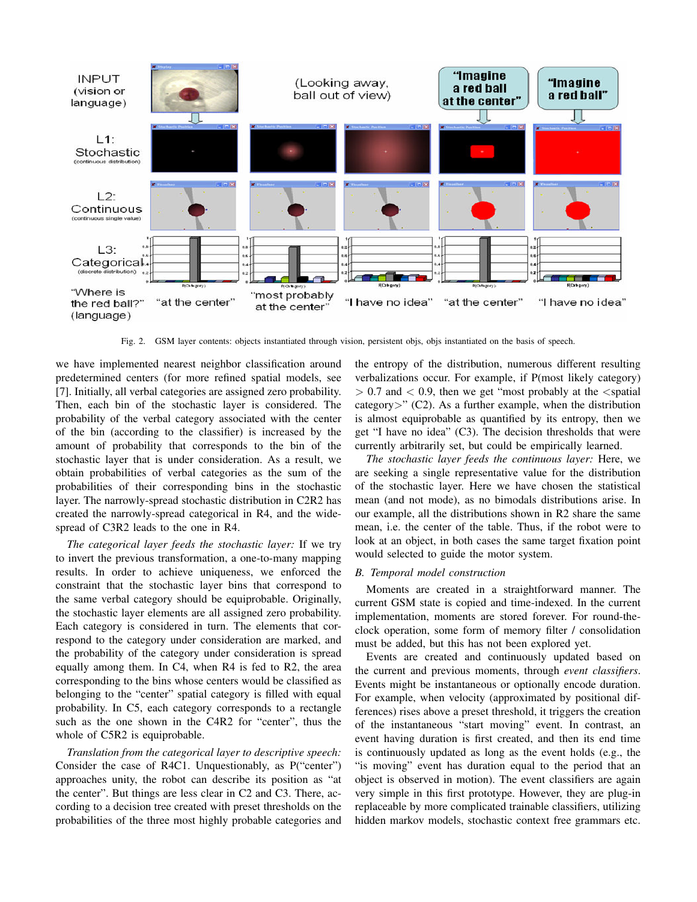

Fig. 2. GSM layer contents: objects instantiated through vision, persistent objs, objs instantiated on the basis of speech.

we have implemented nearest neighbor classification around predetermined centers (for more refined spatial models, see [7]. Initially, all verbal categories are assigned zero probability. Then, each bin of the stochastic layer is considered. The probability of the verbal category associated with the center of the bin (according to the classifier) is increased by the amount of probability that corresponds to the bin of the stochastic layer that is under consideration. As a result, we obtain probabilities of verbal categories as the sum of the probabilities of their corresponding bins in the stochastic layer. The narrowly-spread stochastic distribution in C2R2 has created the narrowly-spread categorical in R4, and the widespread of C3R2 leads to the one in R4.

*The categorical layer feeds the stochastic layer:* If we try to invert the previous transformation, a one-to-many mapping results. In order to achieve uniqueness, we enforced the constraint that the stochastic layer bins that correspond to the same verbal category should be equiprobable. Originally, the stochastic layer elements are all assigned zero probability. Each category is considered in turn. The elements that correspond to the category under consideration are marked, and the probability of the category under consideration is spread equally among them. In C4, when R4 is fed to R2, the area corresponding to the bins whose centers would be classified as belonging to the "center" spatial category is filled with equal probability. In C5, each category corresponds to a rectangle such as the one shown in the C4R2 for "center", thus the whole of C5R2 is equiprobable.

*Translation from the categorical layer to descriptive speech:* Consider the case of R4C1. Unquestionably, as P("center") approaches unity, the robot can describe its position as "at the center". But things are less clear in C2 and C3. There, according to a decision tree created with preset thresholds on the probabilities of the three most highly probable categories and the entropy of the distribution, numerous different resulting verbalizations occur. For example, if P(most likely category)  $> 0.7$  and  $< 0.9$ , then we get "most probably at the  $<$ spatial category $>$ " (C2). As a further example, when the distribution is almost equiprobable as quantified by its entropy, then we get "I have no idea" (C3). The decision thresholds that were currently arbitrarily set, but could be empirically learned.

*The stochastic layer feeds the continuous layer:* Here, we are seeking a single representative value for the distribution of the stochastic layer. Here we have chosen the statistical mean (and not mode), as no bimodals distributions arise. In our example, all the distributions shown in R2 share the same mean, i.e. the center of the table. Thus, if the robot were to look at an object, in both cases the same target fixation point would selected to guide the motor system.

#### *B. Temporal model construction*

Moments are created in a straightforward manner. The current GSM state is copied and time-indexed. In the current implementation, moments are stored forever. For round-theclock operation, some form of memory filter / consolidation must be added, but this has not been explored yet.

Events are created and continuously updated based on the current and previous moments, through *event classifiers*. Events might be instantaneous or optionally encode duration. For example, when velocity (approximated by positional differences) rises above a preset threshold, it triggers the creation of the instantaneous "start moving" event. In contrast, an event having duration is first created, and then its end time is continuously updated as long as the event holds (e.g., the "is moving" event has duration equal to the period that an object is observed in motion). The event classifiers are again very simple in this first prototype. However, they are plug-in replaceable by more complicated trainable classifiers, utilizing hidden markov models, stochastic context free grammars etc.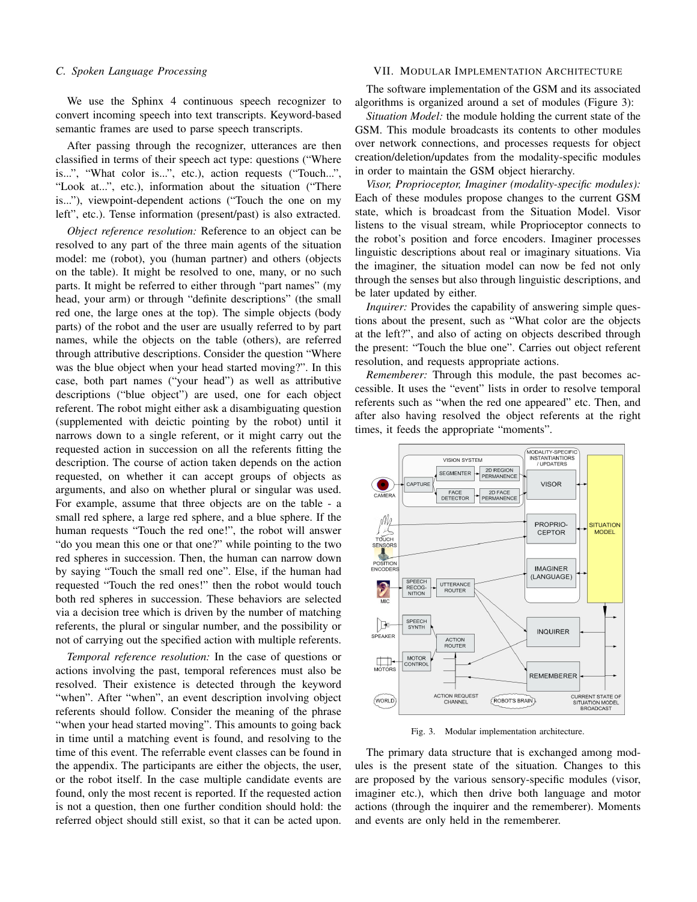#### *C. Spoken Language Processing*

We use the Sphinx 4 continuous speech recognizer to convert incoming speech into text transcripts. Keyword-based semantic frames are used to parse speech transcripts.

After passing through the recognizer, utterances are then classified in terms of their speech act type: questions ("Where is...", "What color is...", etc.), action requests ("Touch...", "Look at...", etc.), information about the situation ("There is..."), viewpoint-dependent actions ("Touch the one on my left", etc.). Tense information (present/past) is also extracted.

*Object reference resolution:* Reference to an object can be resolved to any part of the three main agents of the situation model: me (robot), you (human partner) and others (objects on the table). It might be resolved to one, many, or no such parts. It might be referred to either through "part names" (my head, your arm) or through "definite descriptions" (the small red one, the large ones at the top). The simple objects (body parts) of the robot and the user are usually referred to by part names, while the objects on the table (others), are referred through attributive descriptions. Consider the question "Where was the blue object when your head started moving?". In this case, both part names ("your head") as well as attributive descriptions ("blue object") are used, one for each object referent. The robot might either ask a disambiguating question (supplemented with deictic pointing by the robot) until it narrows down to a single referent, or it might carry out the requested action in succession on all the referents fitting the description. The course of action taken depends on the action requested, on whether it can accept groups of objects as arguments, and also on whether plural or singular was used. For example, assume that three objects are on the table - a small red sphere, a large red sphere, and a blue sphere. If the human requests "Touch the red one!", the robot will answer "do you mean this one or that one?" while pointing to the two red spheres in succession. Then, the human can narrow down by saying "Touch the small red one". Else, if the human had requested "Touch the red ones!" then the robot would touch both red spheres in succession. These behaviors are selected via a decision tree which is driven by the number of matching referents, the plural or singular number, and the possibility or not of carrying out the specified action with multiple referents.

*Temporal reference resolution:* In the case of questions or actions involving the past, temporal references must also be resolved. Their existence is detected through the keyword "when". After "when", an event description involving object referents should follow. Consider the meaning of the phrase "when your head started moving". This amounts to going back in time until a matching event is found, and resolving to the time of this event. The referrable event classes can be found in the appendix. The participants are either the objects, the user, or the robot itself. In the case multiple candidate events are found, only the most recent is reported. If the requested action is not a question, then one further condition should hold: the referred object should still exist, so that it can be acted upon.

#### VII. MODULAR IMPLEMENTATION ARCHITECTURE

The software implementation of the GSM and its associated algorithms is organized around a set of modules (Figure 3):

*Situation Model:* the module holding the current state of the GSM. This module broadcasts its contents to other modules over network connections, and processes requests for object creation/deletion/updates from the modality-specific modules in order to maintain the GSM object hierarchy.

*Visor, Proprioceptor, Imaginer (modality-specific modules):* Each of these modules propose changes to the current GSM state, which is broadcast from the Situation Model. Visor listens to the visual stream, while Proprioceptor connects to the robot's position and force encoders. Imaginer processes linguistic descriptions about real or imaginary situations. Via the imaginer, the situation model can now be fed not only through the senses but also through linguistic descriptions, and be later updated by either.

*Inquirer:* Provides the capability of answering simple questions about the present, such as "What color are the objects at the left?", and also of acting on objects described through the present: "Touch the blue one". Carries out object referent resolution, and requests appropriate actions.

*Rememberer:* Through this module, the past becomes accessible. It uses the "event" lists in order to resolve temporal referents such as "when the red one appeared" etc. Then, and after also having resolved the object referents at the right times, it feeds the appropriate "moments".



Fig. 3. Modular implementation architecture.

The primary data structure that is exchanged among modules is the present state of the situation. Changes to this are proposed by the various sensory-specific modules (visor, imaginer etc.), which then drive both language and motor actions (through the inquirer and the rememberer). Moments and events are only held in the rememberer.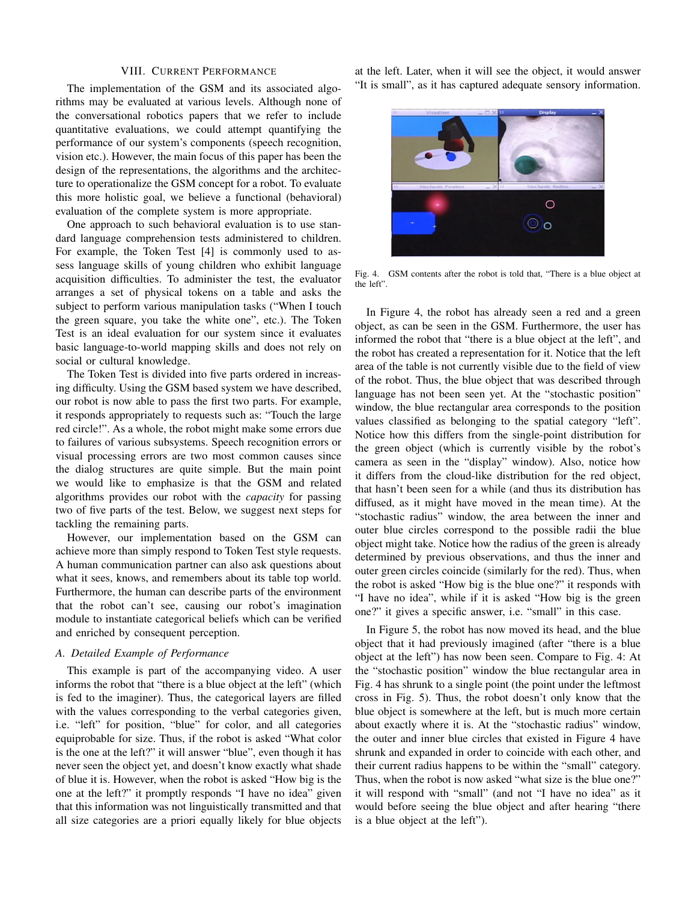#### VIII. CURRENT PERFORMANCE

The implementation of the GSM and its associated algorithms may be evaluated at various levels. Although none of the conversational robotics papers that we refer to include quantitative evaluations, we could attempt quantifying the performance of our system's components (speech recognition, vision etc.). However, the main focus of this paper has been the design of the representations, the algorithms and the architecture to operationalize the GSM concept for a robot. To evaluate this more holistic goal, we believe a functional (behavioral) evaluation of the complete system is more appropriate.

One approach to such behavioral evaluation is to use standard language comprehension tests administered to children. For example, the Token Test [4] is commonly used to assess language skills of young children who exhibit language acquisition difficulties. To administer the test, the evaluator arranges a set of physical tokens on a table and asks the subject to perform various manipulation tasks ("When I touch the green square, you take the white one", etc.). The Token Test is an ideal evaluation for our system since it evaluates basic language-to-world mapping skills and does not rely on social or cultural knowledge.

The Token Test is divided into five parts ordered in increasing difficulty. Using the GSM based system we have described, our robot is now able to pass the first two parts. For example, it responds appropriately to requests such as: "Touch the large red circle!". As a whole, the robot might make some errors due to failures of various subsystems. Speech recognition errors or visual processing errors are two most common causes since the dialog structures are quite simple. But the main point we would like to emphasize is that the GSM and related algorithms provides our robot with the *capacity* for passing two of five parts of the test. Below, we suggest next steps for tackling the remaining parts.

However, our implementation based on the GSM can achieve more than simply respond to Token Test style requests. A human communication partner can also ask questions about what it sees, knows, and remembers about its table top world. Furthermore, the human can describe parts of the environment that the robot can't see, causing our robot's imagination module to instantiate categorical beliefs which can be verified and enriched by consequent perception.

#### *A. Detailed Example of Performance*

This example is part of the accompanying video. A user informs the robot that "there is a blue object at the left" (which is fed to the imaginer). Thus, the categorical layers are filled with the values corresponding to the verbal categories given, i.e. "left" for position, "blue" for color, and all categories equiprobable for size. Thus, if the robot is asked "What color is the one at the left?" it will answer "blue", even though it has never seen the object yet, and doesn't know exactly what shade of blue it is. However, when the robot is asked "How big is the one at the left?" it promptly responds "I have no idea" given that this information was not linguistically transmitted and that all size categories are a priori equally likely for blue objects at the left. Later, when it will see the object, it would answer "It is small", as it has captured adequate sensory information.



Fig. 4. GSM contents after the robot is told that, "There is a blue object at the left".

In Figure 4, the robot has already seen a red and a green object, as can be seen in the GSM. Furthermore, the user has informed the robot that "there is a blue object at the left", and the robot has created a representation for it. Notice that the left area of the table is not currently visible due to the field of view of the robot. Thus, the blue object that was described through language has not been seen yet. At the "stochastic position" window, the blue rectangular area corresponds to the position values classified as belonging to the spatial category "left". Notice how this differs from the single-point distribution for the green object (which is currently visible by the robot's camera as seen in the "display" window). Also, notice how it differs from the cloud-like distribution for the red object, that hasn't been seen for a while (and thus its distribution has diffused, as it might have moved in the mean time). At the "stochastic radius" window, the area between the inner and outer blue circles correspond to the possible radii the blue object might take. Notice how the radius of the green is already determined by previous observations, and thus the inner and outer green circles coincide (similarly for the red). Thus, when the robot is asked "How big is the blue one?" it responds with "I have no idea", while if it is asked "How big is the green one?" it gives a specific answer, i.e. "small" in this case.

In Figure 5, the robot has now moved its head, and the blue object that it had previously imagined (after "there is a blue object at the left") has now been seen. Compare to Fig. 4: At the "stochastic position" window the blue rectangular area in Fig. 4 has shrunk to a single point (the point under the leftmost cross in Fig. 5). Thus, the robot doesn't only know that the blue object is somewhere at the left, but is much more certain about exactly where it is. At the "stochastic radius" window, the outer and inner blue circles that existed in Figure 4 have shrunk and expanded in order to coincide with each other, and their current radius happens to be within the "small" category. Thus, when the robot is now asked "what size is the blue one?" it will respond with "small" (and not "I have no idea" as it would before seeing the blue object and after hearing "there is a blue object at the left").